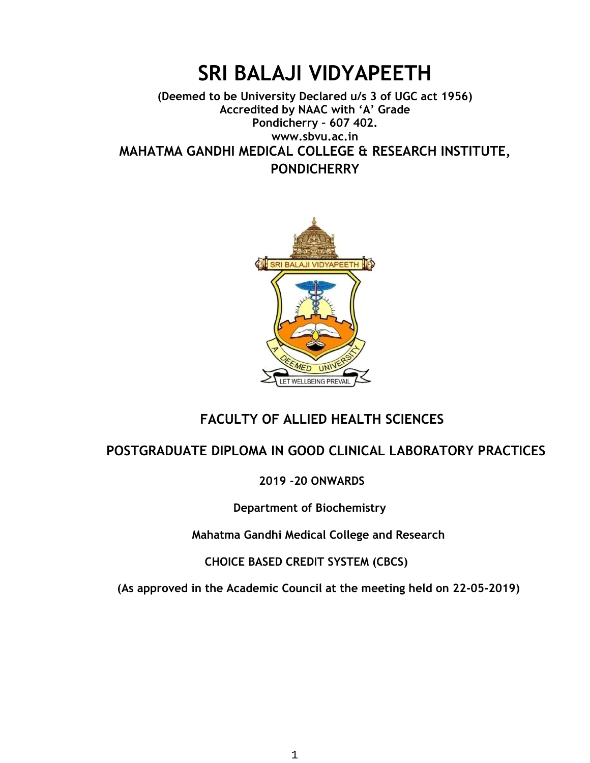## **SRI BALAJI VIDYAPEETH**

#### **(Deemed to be University Declared u/s 3 of UGC act 1956) Accredited by NAAC with 'A' Grade Pondicherry – 607 402. www.sbvu.ac.in MAHATMA GANDHI MEDICAL COLLEGE & RESEARCH INSTITUTE, PONDICHERRY**



#### **FACULTY OF ALLIED HEALTH SCIENCES**

#### **POSTGRADUATE DIPLOMA IN GOOD CLINICAL LABORATORY PRACTICES**

#### **2019 -20 ONWARDS**

 **Department of Biochemistry**

 **Mahatma Gandhi Medical College and Research**

 **CHOICE BASED CREDIT SYSTEM (CBCS)** 

 **(As approved in the Academic Council at the meeting held on 22-05-2019)**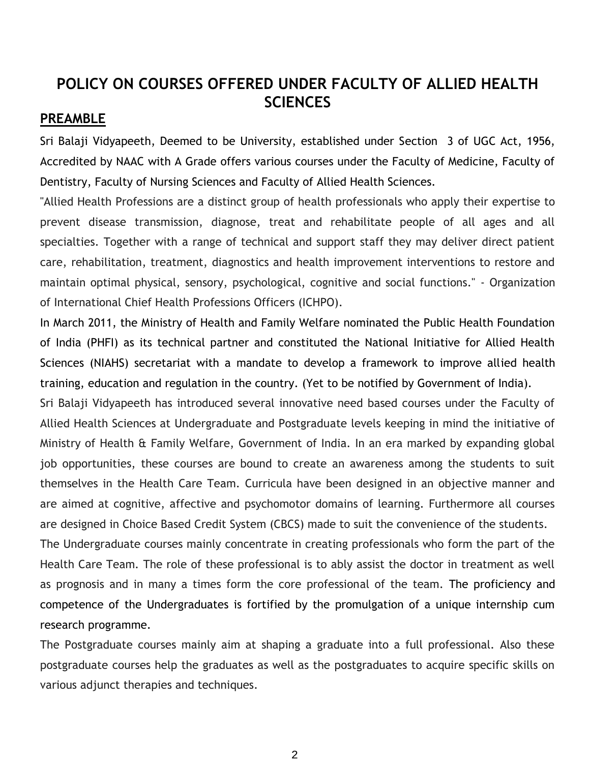#### **POLICY ON COURSES OFFERED UNDER FACULTY OF ALLIED HEALTH SCIENCES**

#### **PREAMBLE**

Sri Balaji Vidyapeeth, Deemed to be University, established under Section 3 of UGC Act, 1956, Accredited by NAAC with A Grade offers various courses under the Faculty of Medicine, Faculty of Dentistry, Faculty of Nursing Sciences and Faculty of Allied Health Sciences.

"Allied Health Professions are a distinct group of health professionals who apply their expertise to prevent disease transmission, diagnose, treat and rehabilitate people of all ages and all specialties. Together with a range of technical and support staff they may deliver direct patient care, rehabilitation, treatment, diagnostics and health improvement interventions to restore and maintain optimal physical, sensory, psychological, cognitive and social functions." - Organization of International Chief Health Professions Officers (ICHPO).

In March 2011, the Ministry of Health and Family Welfare nominated the Public Health Foundation of India (PHFI) as its technical partner and constituted the National Initiative for Allied Health Sciences (NIAHS) secretariat with a mandate to develop a framework to improve allied health training, education and regulation in the country. (Yet to be notified by Government of India).

Sri Balaji Vidyapeeth has introduced several innovative need based courses under the Faculty of Allied Health Sciences at Undergraduate and Postgraduate levels keeping in mind the initiative of Ministry of Health & Family Welfare, Government of India. In an era marked by expanding global job opportunities, these courses are bound to create an awareness among the students to suit themselves in the Health Care Team. Curricula have been designed in an objective manner and are aimed at cognitive, affective and psychomotor domains of learning. Furthermore all courses are designed in Choice Based Credit System (CBCS) made to suit the convenience of the students.

The Undergraduate courses mainly concentrate in creating professionals who form the part of the Health Care Team. The role of these professional is to ably assist the doctor in treatment as well as prognosis and in many a times form the core professional of the team. The proficiency and competence of the Undergraduates is fortified by the promulgation of a unique internship cum research programme.

The Postgraduate courses mainly aim at shaping a graduate into a full professional. Also these postgraduate courses help the graduates as well as the postgraduates to acquire specific skills on various adjunct therapies and techniques.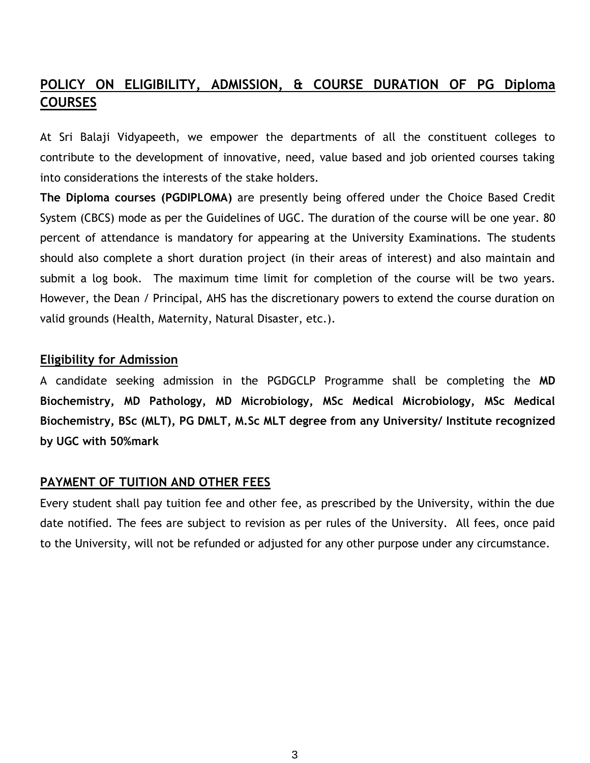#### **POLICY ON ELIGIBILITY, ADMISSION, & COURSE DURATION OF PG Diploma COURSES**

At Sri Balaji Vidyapeeth, we empower the departments of all the constituent colleges to contribute to the development of innovative, need, value based and job oriented courses taking into considerations the interests of the stake holders.

**The Diploma courses (PGDIPLOMA)** are presently being offered under the Choice Based Credit System (CBCS) mode as per the Guidelines of UGC. The duration of the course will be one year. 80 percent of attendance is mandatory for appearing at the University Examinations. The students should also complete a short duration project (in their areas of interest) and also maintain and submit a log book. The maximum time limit for completion of the course will be two years. However, the Dean / Principal, AHS has the discretionary powers to extend the course duration on valid grounds (Health, Maternity, Natural Disaster, etc.).

#### **Eligibility for Admission**

A candidate seeking admission in the PGDGCLP Programme shall be completing the **MD Biochemistry, MD Pathology, MD Microbiology, MSc Medical Microbiology, MSc Medical Biochemistry, BSc (MLT), PG DMLT, M.Sc MLT degree from any University/ Institute recognized by UGC with 50%mark**

#### **PAYMENT OF TUITION AND OTHER FEES**

Every student shall pay tuition fee and other fee, as prescribed by the University, within the due date notified. The fees are subject to revision as per rules of the University. All fees, once paid to the University, will not be refunded or adjusted for any other purpose under any circumstance.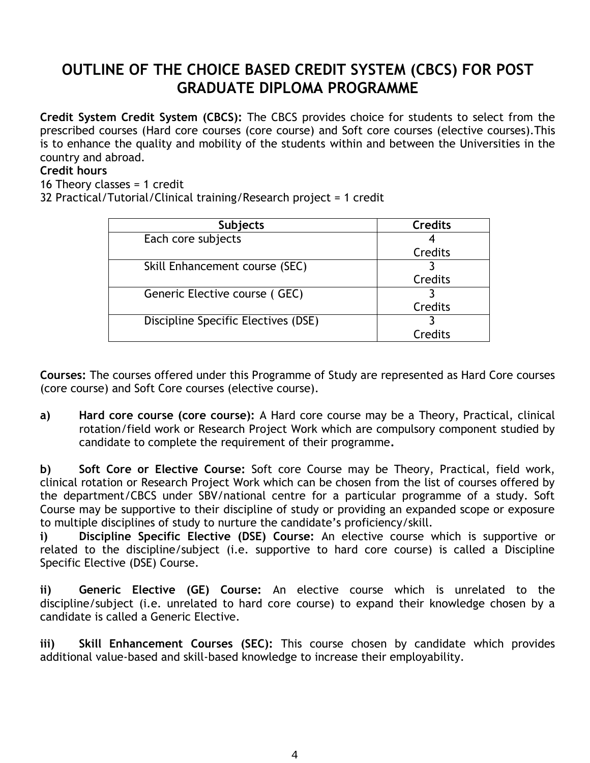### **OUTLINE OF THE CHOICE BASED CREDIT SYSTEM (CBCS) FOR POST GRADUATE DIPLOMA PROGRAMME**

**Credit System Credit System (CBCS):** The CBCS provides choice for students to select from the prescribed courses (Hard core courses (core course) and Soft core courses (elective courses).This is to enhance the quality and mobility of the students within and between the Universities in the country and abroad.

#### **Credit hours**

16 Theory classes = 1 credit

32 Practical/Tutorial/Clinical training/Research project = 1 credit

| <b>Subjects</b>                     | <b>Credits</b> |
|-------------------------------------|----------------|
| Each core subjects                  |                |
|                                     | Credits        |
| Skill Enhancement course (SEC)      |                |
|                                     | Credits        |
| Generic Elective course (GEC)       |                |
|                                     | Credits        |
| Discipline Specific Electives (DSE) |                |
|                                     | Credits        |

**Courses:** The courses offered under this Programme of Study are represented as Hard Core courses (core course) and Soft Core courses (elective course).

**a) Hard core course (core course):** A Hard core course may be a Theory, Practical, clinical rotation/field work or Research Project Work which are compulsory component studied by candidate to complete the requirement of their programme**.**

**b) Soft Core or Elective Course:** Soft core Course may be Theory, Practical, field work, clinical rotation or Research Project Work which can be chosen from the list of courses offered by the department/CBCS under SBV/national centre for a particular programme of a study. Soft Course may be supportive to their discipline of study or providing an expanded scope or exposure to multiple disciplines of study to nurture the candidate's proficiency/skill.

**i) Discipline Specific Elective (DSE) Course:** An elective course which is supportive or related to the discipline/subject (i.e. supportive to hard core course) is called a Discipline Specific Elective (DSE) Course.

**ii) Generic Elective (GE) Course:** An elective course which is unrelated to the discipline/subject (i.e. unrelated to hard core course) to expand their knowledge chosen by a candidate is called a Generic Elective.

**iii) Skill Enhancement Courses (SEC):** This course chosen by candidate which provides additional value-based and skill-based knowledge to increase their employability.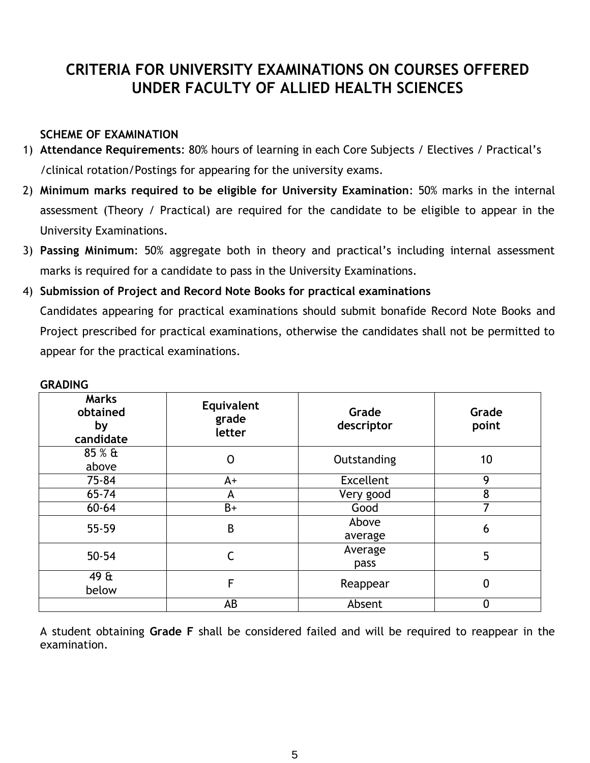### **CRITERIA FOR UNIVERSITY EXAMINATIONS ON COURSES OFFERED UNDER FACULTY OF ALLIED HEALTH SCIENCES**

#### **SCHEME OF EXAMINATION**

- 1) **Attendance Requirements**: 80% hours of learning in each Core Subjects / Electives / Practical's /clinical rotation/Postings for appearing for the university exams.
- 2) **Minimum marks required to be eligible for University Examination**: 50% marks in the internal assessment (Theory / Practical) are required for the candidate to be eligible to appear in the University Examinations.
- 3) **Passing Minimum**: 50% aggregate both in theory and practical's including internal assessment marks is required for a candidate to pass in the University Examinations.
- 4) **Submission of Project and Record Note Books for practical examinations** Candidates appearing for practical examinations should submit bonafide Record Note Books and Project prescribed for practical examinations, otherwise the candidates shall not be permitted to appear for the practical examinations.

| <b>Marks</b><br>obtained<br>by<br>candidate | Equivalent<br>grade<br>letter | Grade<br>descriptor | Grade<br>point |
|---------------------------------------------|-------------------------------|---------------------|----------------|
| 85 % &<br>above                             | 0                             | Outstanding         | 10             |
| 75-84                                       | A+                            | <b>Excellent</b>    | 9              |
| $65 - 74$                                   | A                             | Very good           | 8              |
| $60 - 64$                                   | B+                            | Good                | 7              |
| 55-59                                       | $\sf B$                       | Above<br>average    | 6              |
| $50 - 54$                                   | С                             | Average<br>pass     | 5              |
| 49 &<br>below                               | F                             | Reappear            | 0              |
|                                             | AB                            | Absent              | 0              |

#### **GRADING**

A student obtaining **Grade F** shall be considered failed and will be required to reappear in the examination.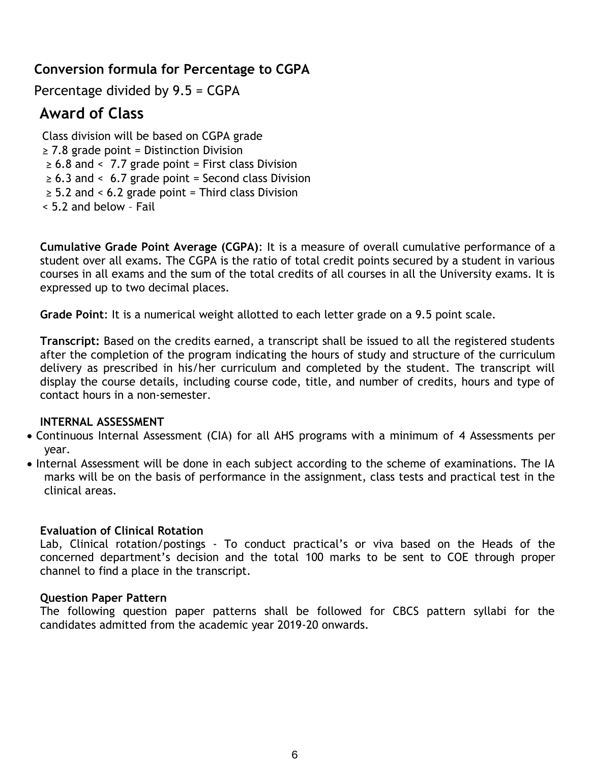#### **Conversion formula for Percentage to CGPA**

Percentage divided by 9.5 = CGPA

#### **Award of Class**

Class division will be based on CGPA grade  $\geq$  7.8 grade point = Distinction Division  $\geq 6.8$  and < 7.7 grade point = First class Division  $\geq 6.3$  and < 6.7 grade point = Second class Division  $\geq$  5.2 and < 6.2 grade point = Third class Division < 5.2 and below – Fail

**Cumulative Grade Point Average (CGPA)**: It is a measure of overall cumulative performance of a student over all exams. The CGPA is the ratio of total credit points secured by a student in various courses in all exams and the sum of the total credits of all courses in all the University exams. It is expressed up to two decimal places.

**Grade Point**: It is a numerical weight allotted to each letter grade on a 9.5 point scale.

**Transcript:** Based on the credits earned, a transcript shall be issued to all the registered students after the completion of the program indicating the hours of study and structure of the curriculum delivery as prescribed in his/her curriculum and completed by the student. The transcript will display the course details, including course code, title, and number of credits, hours and type of contact hours in a non-semester.

#### **INTERNAL ASSESSMENT**

- Continuous Internal Assessment (CIA) for all AHS programs with a minimum of 4 Assessments per year.
- Internal Assessment will be done in each subject according to the scheme of examinations. The IA marks will be on the basis of performance in the assignment, class tests and practical test in the clinical areas.

#### **Evaluation of Clinical Rotation**

Lab, Clinical rotation/postings - To conduct practical's or viva based on the Heads of the concerned department's decision and the total 100 marks to be sent to COE through proper channel to find a place in the transcript.

#### **Question Paper Pattern**

The following question paper patterns shall be followed for CBCS pattern syllabi for the candidates admitted from the academic year 2019-20 onwards.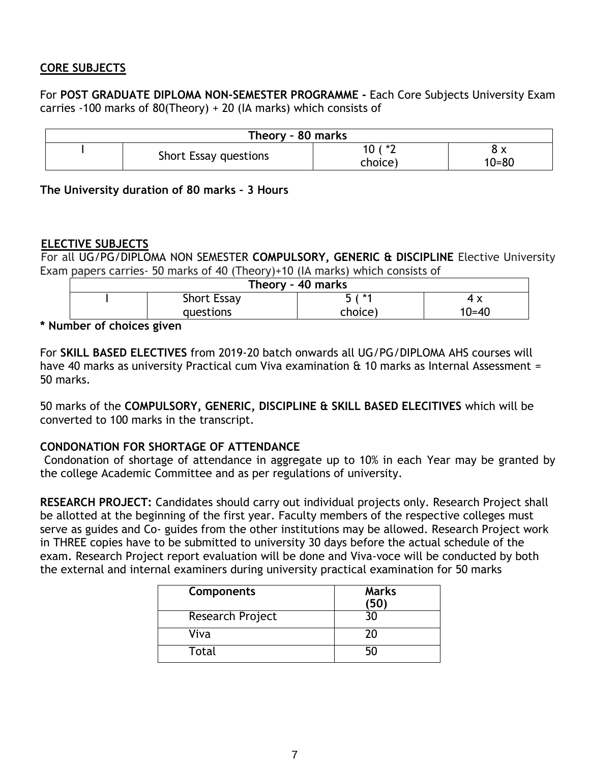#### **CORE SUBJECTS**

For **POST GRADUATE DIPLOMA NON-SEMESTER PROGRAMME -** Each Core Subjects University Exam carries -100 marks of 80(Theory) + 20 (IA marks) which consists of

| Theory - 80 marks |                       |                    |           |  |
|-------------------|-----------------------|--------------------|-----------|--|
|                   | Short Essay questions | $( * )$<br>choice) | $10 = 80$ |  |

**The University duration of 80 marks – 3 Hours** 

#### **ELECTIVE SUBJECTS**

For all UG/PG/DIPLOMA NON SEMESTER **COMPULSORY, GENERIC & DISCIPLINE** Elective University Exam papers carries- 50 marks of 40 (Theory)+10 (IA marks) which consists of

| Theory - 40 marks             |                    |        |     |  |  |
|-------------------------------|--------------------|--------|-----|--|--|
|                               | <b>Short Essay</b> | ξ / *1 | 4 X |  |  |
| choice)<br>10=40<br>questions |                    |        |     |  |  |

**\* Number of choices given**

For **SKILL BASED ELECTIVES** from 2019-20 batch onwards all UG/PG/DIPLOMA AHS courses will have 40 marks as university Practical cum Viva examination & 10 marks as Internal Assessment = 50 marks.

50 marks of the **COMPULSORY, GENERIC, DISCIPLINE & SKILL BASED ELECITIVES** which will be converted to 100 marks in the transcript.

#### **CONDONATION FOR SHORTAGE OF ATTENDANCE**

Condonation of shortage of attendance in aggregate up to 10% in each Year may be granted by the college Academic Committee and as per regulations of university.

**RESEARCH PROJECT:** Candidates should carry out individual projects only. Research Project shall be allotted at the beginning of the first year. Faculty members of the respective colleges must serve as guides and Co- guides from the other institutions may be allowed. Research Project work in THREE copies have to be submitted to university 30 days before the actual schedule of the exam. Research Project report evaluation will be done and Viva-voce will be conducted by both the external and internal examiners during university practical examination for 50 marks

| Components       | <b>Marks</b> |
|------------------|--------------|
| Research Project |              |
| Viva             |              |
| Total            |              |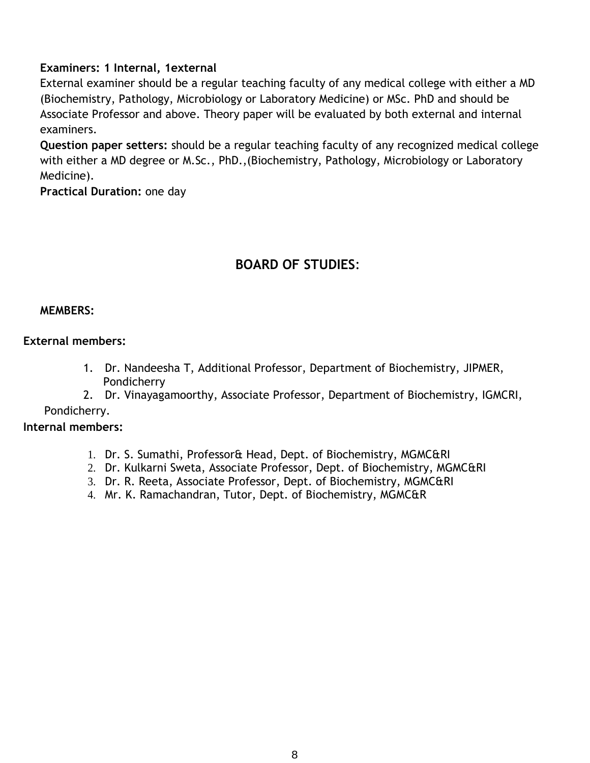#### **Examiners: 1 Internal, 1external**

External examiner should be a regular teaching faculty of any medical college with either a MD (Biochemistry, Pathology, Microbiology or Laboratory Medicine) or MSc. PhD and should be Associate Professor and above. Theory paper will be evaluated by both external and internal examiners.

**Question paper setters:** should be a regular teaching faculty of any recognized medical college with either a MD degree or M.Sc., PhD.,(Biochemistry, Pathology, Microbiology or Laboratory Medicine).

**Practical Duration:** one day

#### **BOARD OF STUDIES**:

#### **MEMBERS:**

#### **External members:**

- 1. Dr. Nandeesha T, Additional Professor, Department of Biochemistry, JIPMER, Pondicherry
- 2. Dr. Vinayagamoorthy, Associate Professor, Department of Biochemistry, IGMCRI,

#### Pondicherry.

#### **Internal members:**

- 1. Dr. S. Sumathi, Professor& Head, Dept. of Biochemistry, MGMC&RI
- 2. Dr. Kulkarni Sweta, Associate Professor, Dept. of Biochemistry, MGMC&RI
- 3. Dr. R. Reeta, Associate Professor, Dept. of Biochemistry, MGMC&RI
- 4. Mr. K. Ramachandran, Tutor, Dept. of Biochemistry, MGMC&R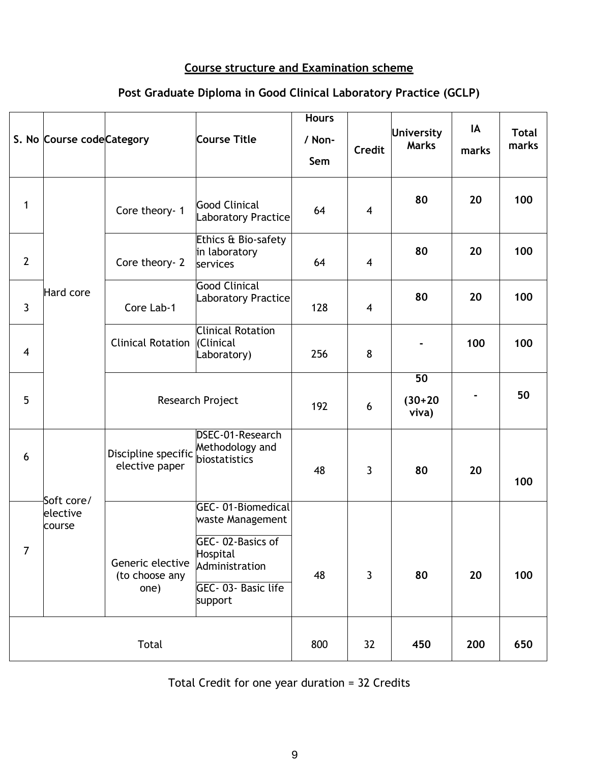#### **Course structure and Examination scheme**

### **Post Graduate Diploma in Good Clinical Laboratory Practice (GCLP)**

|                | S. No Course code Category       |                                            | <b>Course Title</b>                                                                                                      | <b>Hours</b><br>/ Non-<br>Sem | <b>Credit</b> | University<br><b>Marks</b>            | IA<br>marks | <b>Total</b><br>marks |
|----------------|----------------------------------|--------------------------------------------|--------------------------------------------------------------------------------------------------------------------------|-------------------------------|---------------|---------------------------------------|-------------|-----------------------|
| 1              |                                  | Core theory- 1                             | <b>Good Clinical</b><br>Laboratory Practice                                                                              | 64                            | 4             | 80                                    | 20          | 100                   |
| $\overline{2}$ |                                  | Core theory- 2                             | Ethics & Bio-safety<br>in laboratory<br>services                                                                         | 64                            | 4             | 80                                    | 20          | 100                   |
| $\mathbf{3}$   | Hard core                        | Core Lab-1                                 | <b>Good Clinical</b><br><b>Laboratory Practice</b>                                                                       | 128                           | 4             | 80                                    | 20          | 100                   |
| $\overline{4}$ |                                  | <b>Clinical Rotation</b>                   | <b>Clinical Rotation</b><br>(Clinical<br>Laboratory)                                                                     | 256                           | 8             |                                       | 100         | 100                   |
| 5              |                                  |                                            | Research Project                                                                                                         | 192                           | 6             | $\overline{50}$<br>$(30+20)$<br>viva) |             | 50                    |
| 6              |                                  | Discipline specific<br>elective paper      | DSEC-01-Research<br>Methodology and<br>biostatistics                                                                     | 48                            | 3             | 80                                    | 20          | 100                   |
| $\overline{7}$ | Soft core/<br>elective<br>course | Generic elective<br>(to choose any<br>one) | GEC-01-Biomedical<br>waste Management<br>GEC-02-Basics of<br>Hospital<br>Administration<br>GEC-03- Basic life<br>support | 48                            | 3             | 80                                    | 20          | 100                   |
| Total          |                                  |                                            | 800                                                                                                                      | 32                            | 450           | 200                                   | 650         |                       |

Total Credit for one year duration = 32 Credits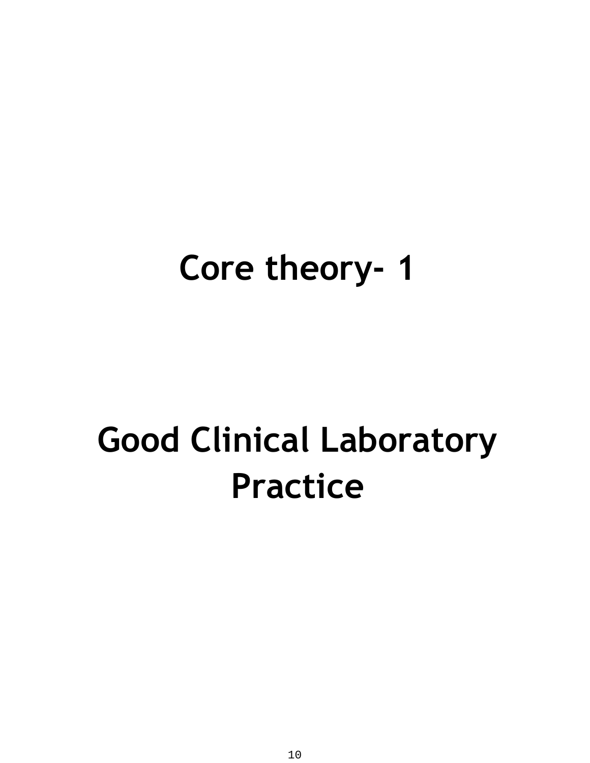## **Core theory- 1**

# **Good Clinical Laboratory Practice**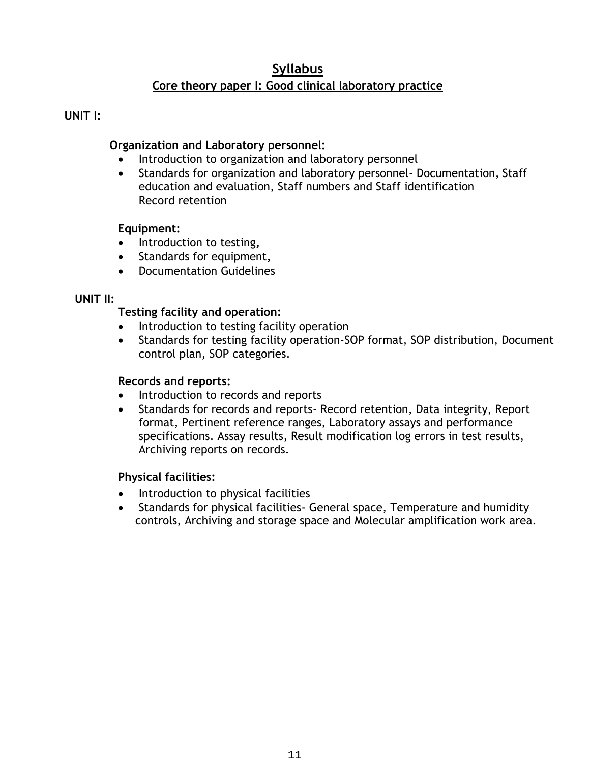#### **Syllabus**

#### **Core theory paper I: Good clinical laboratory practice**

#### **UNIT I:**

#### **Organization and Laboratory personnel:**

- Introduction to organization and laboratory personnel
- Standards for organization and laboratory personnel Documentation, Staff education and evaluation, Staff numbers and Staff identification Record retention

#### **Equipment:**

- **•** Introduction to testing,
- Standards for equipment**,**
- Documentation Guidelines

#### **UNIT II:**

#### **Testing facility and operation:**

- Introduction to testing facility operation
- Standards for testing facility operation-SOP format, SOP distribution, Document control plan, SOP categories.

#### **Records and reports:**

- Introduction to records and reports
- Standards for records and reports- Record retention, Data integrity, Report format, Pertinent reference ranges, Laboratory assays and performance specifications. Assay results, Result modification log errors in test results, Archiving reports on records.

#### **Physical facilities:**

- Introduction to physical facilities
- Standards for physical facilities- General space, Temperature and humidity controls, Archiving and storage space and Molecular amplification work area.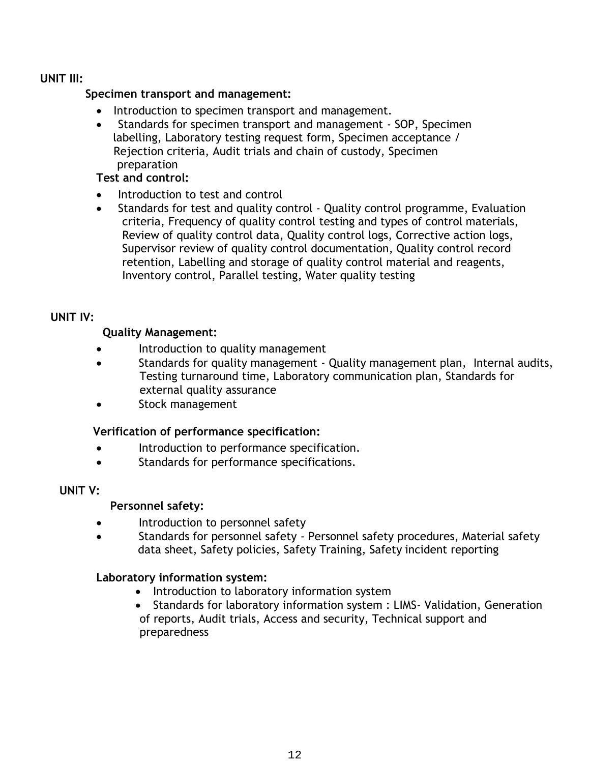#### **UNIT III:**

#### **Specimen transport and management:**

- Introduction to specimen transport and management.
- Standards for specimen transport and management SOP, Specimen labelling, Laboratory testing request form, Specimen acceptance / Rejection criteria, Audit trials and chain of custody, Specimen preparation

#### **Test and control:**

- Introduction to test and control
- Standards for test and quality control Quality control programme, Evaluation criteria, Frequency of quality control testing and types of control materials, Review of quality control data, Quality control logs, Corrective action logs, Supervisor review of quality control documentation, Quality control record retention, Labelling and storage of quality control material and reagents, Inventory control, Parallel testing, Water quality testing

#### **UNIT IV:**

#### **Quality Management:**

- Introduction to quality management
- Standards for quality management Quality management plan, Internal audits, Testing turnaround time, Laboratory communication plan, Standards for external quality assurance
- Stock management

#### **Verification of performance specification:**

- **•** Introduction to performance specification.
- Standards for performance specifications.

#### **UNIT V:**

#### **Personnel safety:**

- Introduction to personnel safety
- Standards for personnel safety Personnel safety procedures, Material safety data sheet, Safety policies, Safety Training, Safety incident reporting

#### **Laboratory information system:**

- Introduction to laboratory information system
- Standards for laboratory information system : LIMS- Validation, Generation of reports, Audit trials, Access and security, Technical support and preparedness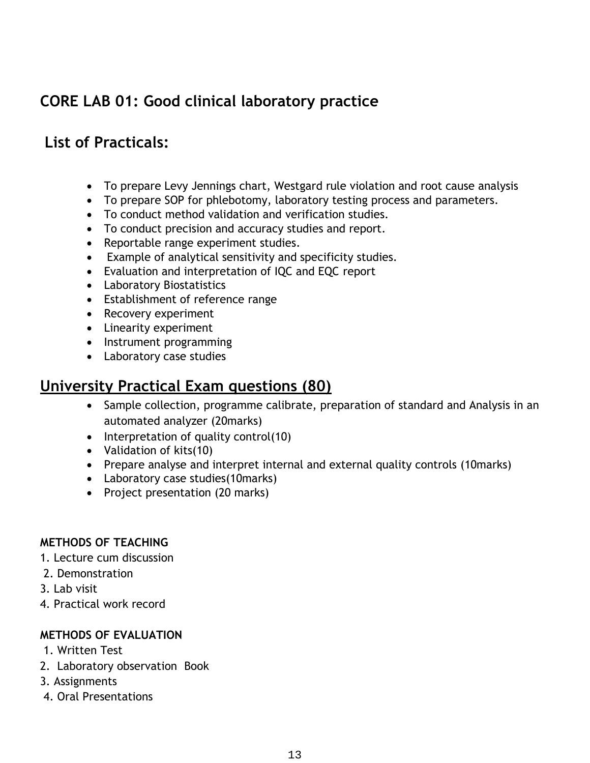## **CORE LAB 01: Good clinical laboratory practice**

#### **List of Practicals:**

- To prepare Levy Jennings chart, Westgard rule violation and root cause analysis
- To prepare SOP for phlebotomy, laboratory testing process and parameters.
- To conduct method validation and verification studies.
- To conduct precision and accuracy studies and report.
- Reportable range experiment studies.
- Example of analytical sensitivity and specificity studies.
- Evaluation and interpretation of IQC and EQC report
- Laboratory Biostatistics
- Establishment of reference range
- Recovery experiment
- Linearity experiment
- Instrument programming
- Laboratory case studies

#### **University Practical Exam questions (80)**

- Sample collection, programme calibrate, preparation of standard and Analysis in an automated analyzer (20marks)
- $\bullet$  Interpretation of quality control(10)
- Validation of kits(10)
- Prepare analyse and interpret internal and external quality controls (10marks)
- Laboratory case studies(10marks)
- Project presentation (20 marks)

#### **METHODS OF TEACHING**

- 1. Lecture cum discussion
- 2. Demonstration
- 3. Lab visit
- 4. Practical work record

#### **METHODS OF EVALUATION**

- 1. Written Test
- 2. Laboratory observation Book
- 3. Assignments
- 4. Oral Presentations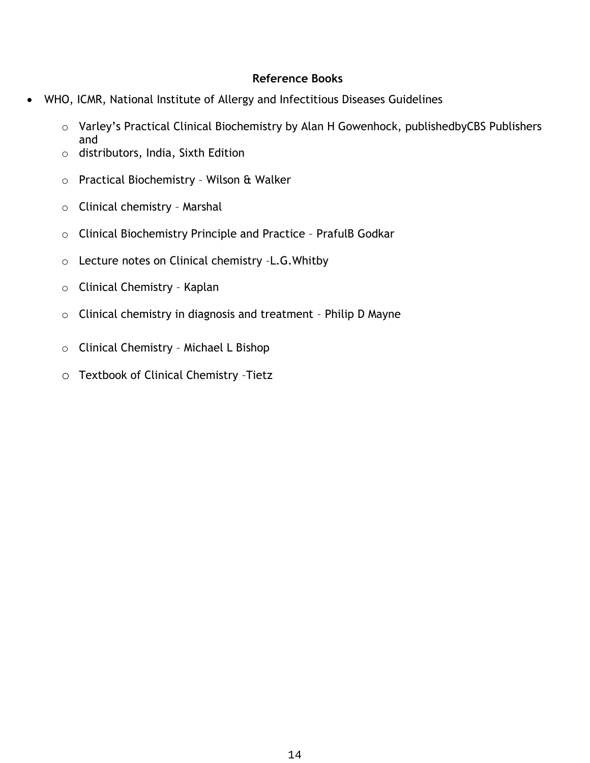#### **Reference Books**

- WHO, ICMR, National Institute of Allergy and Infectitious Diseases Guidelines
	- o Varley's Practical Clinical Biochemistry by Alan H Gowenhock, publishedbyCBS Publishers and
	- o distributors, India, Sixth Edition
	- o Practical Biochemistry Wilson & Walker
	- o Clinical chemistry Marshal
	- o Clinical Biochemistry Principle and Practice PrafulB Godkar
	- o Lecture notes on Clinical chemistry –L.G.Whitby
	- o Clinical Chemistry Kaplan
	- o Clinical chemistry in diagnosis and treatment Philip D Mayne
	- o Clinical Chemistry Michael L Bishop
	- o Textbook of Clinical Chemistry –Tietz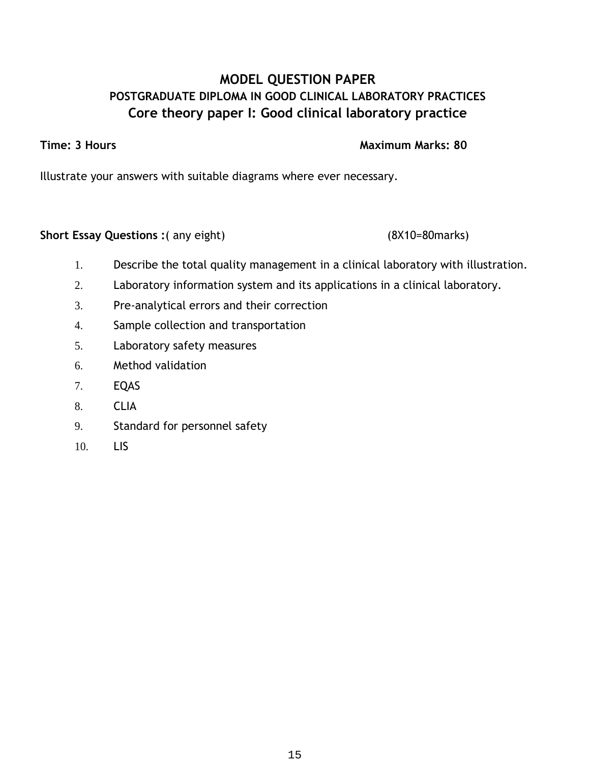#### **MODEL QUESTION PAPER POSTGRADUATE DIPLOMA IN GOOD CLINICAL LABORATORY PRACTICES Core theory paper I: Good clinical laboratory practice**

**Time: 3 Hours Maximum Marks: 80** 

Illustrate your answers with suitable diagrams where ever necessary.

**Short Essay Questions :**( any eight) (8X10=80marks)

- 1. Describe the total quality management in a clinical laboratory with illustration.
- 2. Laboratory information system and its applications in a clinical laboratory.
- 3. Pre-analytical errors and their correction
- 4. Sample collection and transportation
- 5. Laboratory safety measures
- 6. Method validation
- 7. EQAS
- 8. CLIA
- 9. Standard for personnel safety
- 10. LIS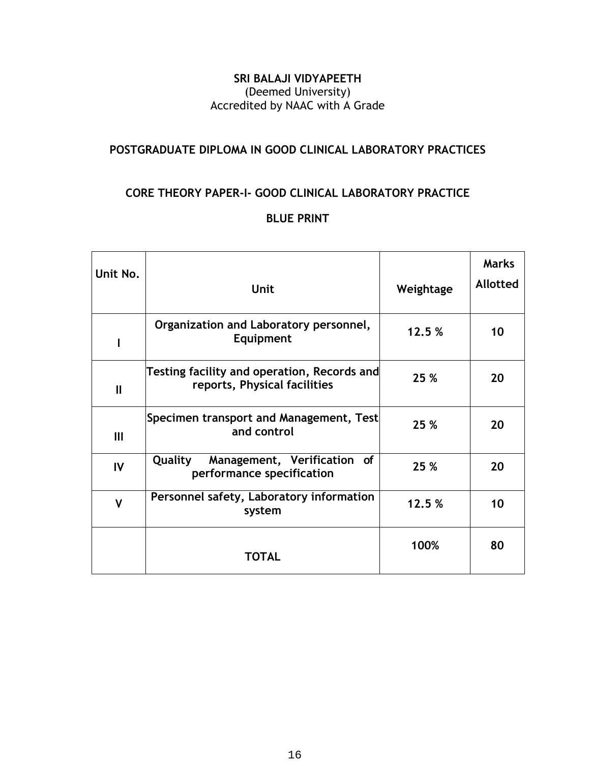#### **SRI BALAJI VIDYAPEETH** (Deemed University) Accredited by NAAC with A Grade

#### **POSTGRADUATE DIPLOMA IN GOOD CLINICAL LABORATORY PRACTICES**

#### **CORE THEORY PAPER-I- GOOD CLINICAL LABORATORY PRACTICE**

#### **BLUE PRINT**

| Unit No.     | <b>Unit</b>                                                                 | Weightage | <b>Marks</b><br><b>Allotted</b> |
|--------------|-----------------------------------------------------------------------------|-----------|---------------------------------|
|              | Organization and Laboratory personnel,<br>Equipment                         | 12.5%     | 10                              |
| $\mathbf{I}$ | Testing facility and operation, Records and<br>reports, Physical facilities | 25 %      | 20                              |
| Ш            | Specimen transport and Management, Test<br>and control                      | 25 %      | 20                              |
| IV           | Quality<br>Management, Verification of<br>performance specification         | 25 %      | 20                              |
| $\mathsf{V}$ | Personnel safety, Laboratory information<br>system                          | 12.5%     | 10                              |
|              | <b>TOTAL</b>                                                                | 100%      | 80                              |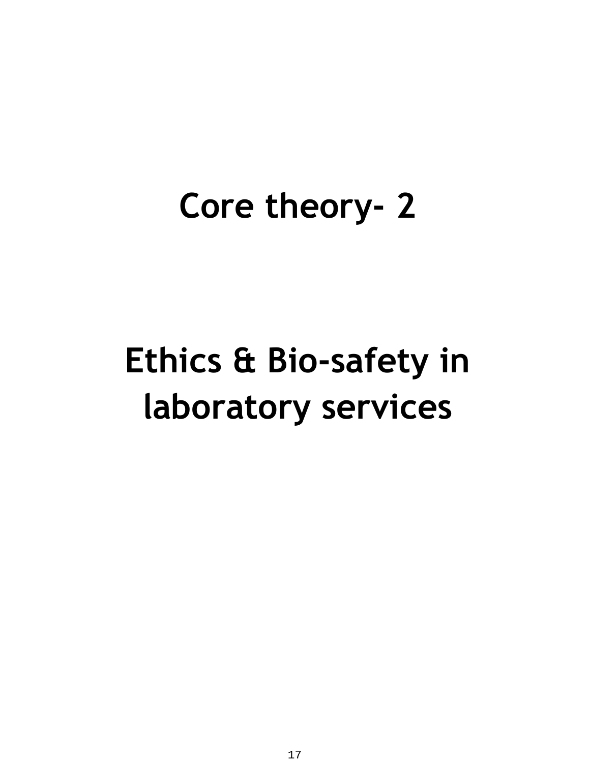## **Core theory- 2**

## **Ethics & Bio-safety in laboratory services**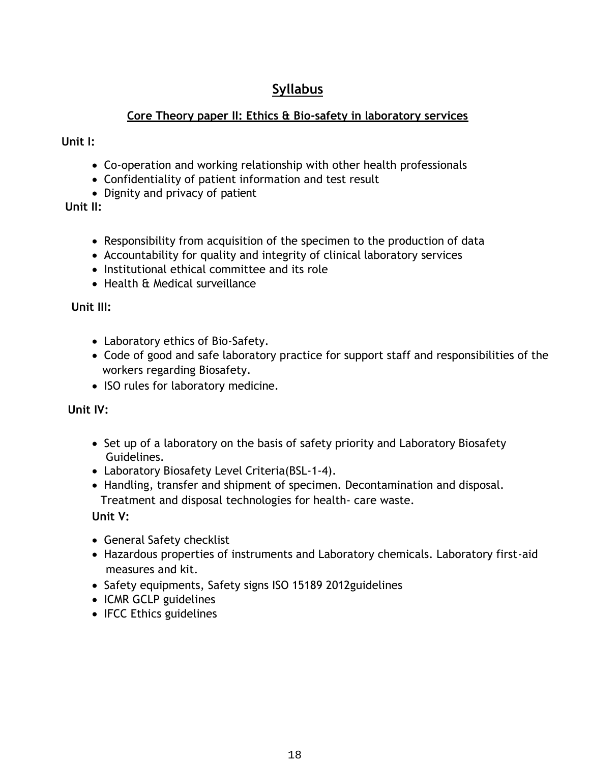#### **Syllabus**

#### **Core Theory paper II: Ethics & Bio-safety in laboratory services**

 **Unit I:**

- Co-operation and working relationship with other health professionals
- Confidentiality of patient information and test result
- Dignity and privacy of patient

 **Unit II:**

- Responsibility from acquisition of the specimen to the production of data
- Accountability for quality and integrity of clinical laboratory services
- Institutional ethical committee and its role
- Health & Medical surveillance

 **Unit III:**

- Laboratory ethics of Bio-Safety.
- Code of good and safe laboratory practice for support staff and responsibilities of the workers regarding Biosafety.
- ISO rules for laboratory medicine.

 **Unit IV:**

- Set up of a laboratory on the basis of safety priority and Laboratory Biosafety Guidelines.
- Laboratory Biosafety Level Criteria(BSL-1-4).
- Handling, transfer and shipment of specimen. Decontamination and disposal. Treatment and disposal technologies for health- care waste.

**Unit V:**

- General Safety checklist
- Hazardous properties of instruments and Laboratory chemicals. Laboratory first-aid measures and kit.
- Safety equipments, Safety signs ISO 15189 2012 guidelines
- ICMR GCLP guidelines
- IFCC Ethics guidelines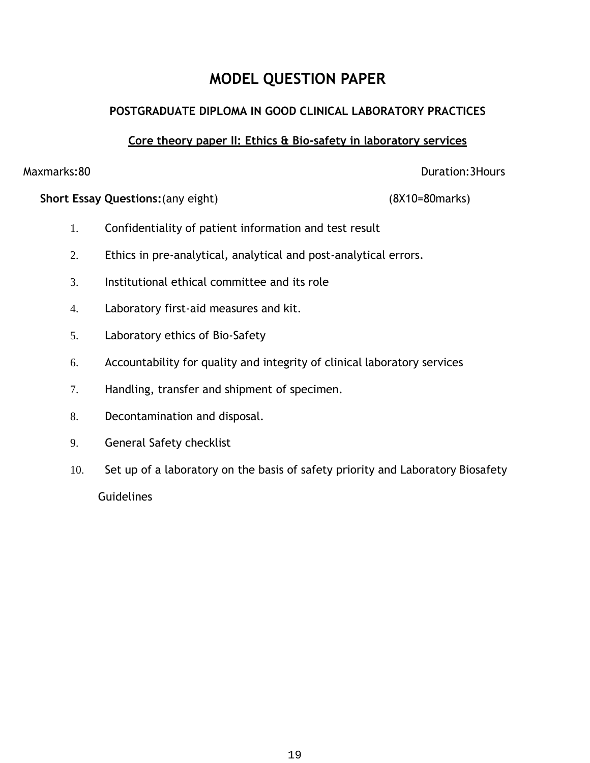### **MODEL QUESTION PAPER**

#### **POSTGRADUATE DIPLOMA IN GOOD CLINICAL LABORATORY PRACTICES**

#### **Core theory paper II: Ethics & Bio-safety in laboratory services**

Maxmarks:80 Duration:3Hours

**Short Essay Questions:**(any eight) (8X10=80marks)

- 1. Confidentiality of patient information and test result
- 2. Ethics in pre-analytical, analytical and post-analytical errors.
- 3. Institutional ethical committee and its role
- 4. Laboratory first-aid measures and kit.
- 5. Laboratory ethics of Bio-Safety
- 6. Accountability for quality and integrity of clinical laboratory services
- 7. Handling, transfer and shipment of specimen.
- 8. Decontamination and disposal.
- 9. General Safety checklist
- 10. Set up of a laboratory on the basis of safety priority and Laboratory Biosafety **Guidelines**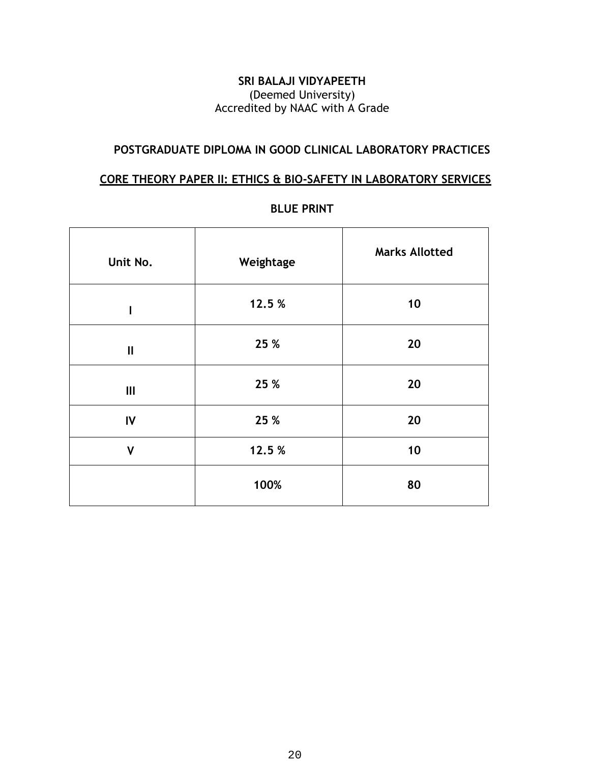#### **SRI BALAJI VIDYAPEETH** (Deemed University) Accredited by NAAC with A Grade

#### **POSTGRADUATE DIPLOMA IN GOOD CLINICAL LABORATORY PRACTICES**

#### **CORE THEORY PAPER II: ETHICS & BIO-SAFETY IN LABORATORY SERVICES**

| Unit No.     | <b>Marks Allotted</b><br>Weightage |    |
|--------------|------------------------------------|----|
| I            | 12.5 %                             | 10 |
| $\mathbf{I}$ | 25 %                               | 20 |
| Ш            | 25 %                               | 20 |
| IV           | 25 %                               | 20 |
| $\mathsf{V}$ | 12.5%                              | 10 |
|              | 100%                               | 80 |

#### **BLUE PRINT**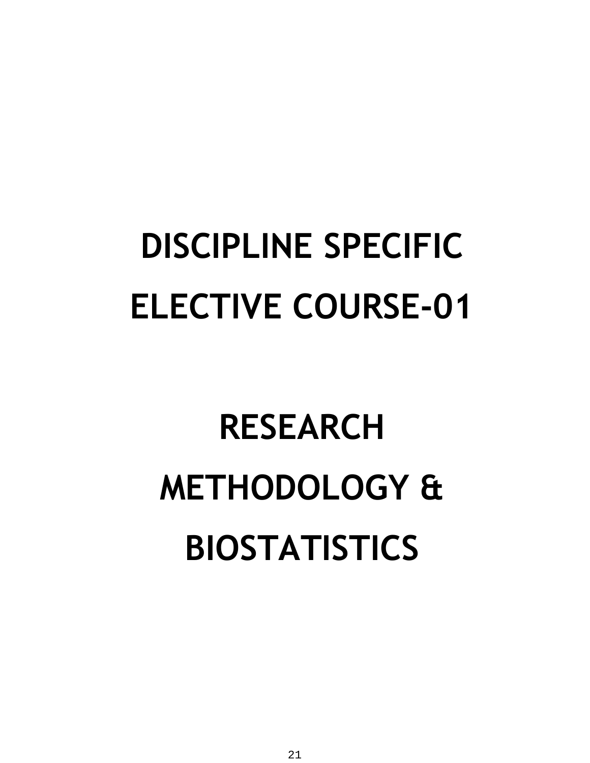# **DISCIPLINE SPECIFIC ELECTIVE COURSE-01**

# **RESEARCH METHODOLOGY & BIOSTATISTICS**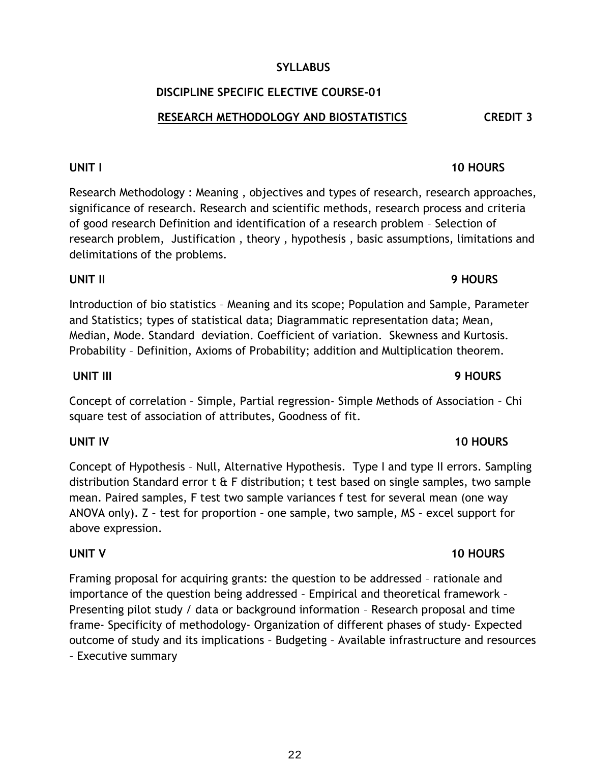#### **UNIT IV 10 HOURS**

## **SYLLABUS**

#### **DISCIPLINE SPECIFIC ELECTIVE COURSE-01**

#### **RESEARCH METHODOLOGY AND BIOSTATISTICS CREDIT 3**

#### **UNIT I** 10 HOURS

Research Methodology : Meaning , objectives and types of research, research approaches, significance of research. Research and scientific methods, research process and criteria of good research Definition and identification of a research problem – Selection of research problem, Justification , theory , hypothesis , basic assumptions, limitations and delimitations of the problems.

#### **UNIT II 9 HOURS**

Introduction of bio statistics – Meaning and its scope; Population and Sample, Parameter and Statistics; types of statistical data; Diagrammatic representation data; Mean, Median, Mode. Standard deviation. Coefficient of variation. Skewness and Kurtosis. Probability – Definition, Axioms of Probability; addition and Multiplication theorem.

#### **UNIT III 9 HOURS**

Concept of correlation – Simple, Partial regression- Simple Methods of Association – Chi square test of association of attributes, Goodness of fit.

Concept of Hypothesis – Null, Alternative Hypothesis. Type I and type II errors. Sampling distribution Standard error  $t \hat{a}$  F distribution; t test based on single samples, two sample mean. Paired samples, F test two sample variances f test for several mean (one way ANOVA only). Z – test for proportion – one sample, two sample, MS – excel support for above expression.

#### **UNIT V** 10 HOURS

Framing proposal for acquiring grants: the question to be addressed – rationale and importance of the question being addressed – Empirical and theoretical framework – Presenting pilot study / data or background information – Research proposal and time frame- Specificity of methodology- Organization of different phases of study- Expected outcome of study and its implications – Budgeting – Available infrastructure and resources – Executive summary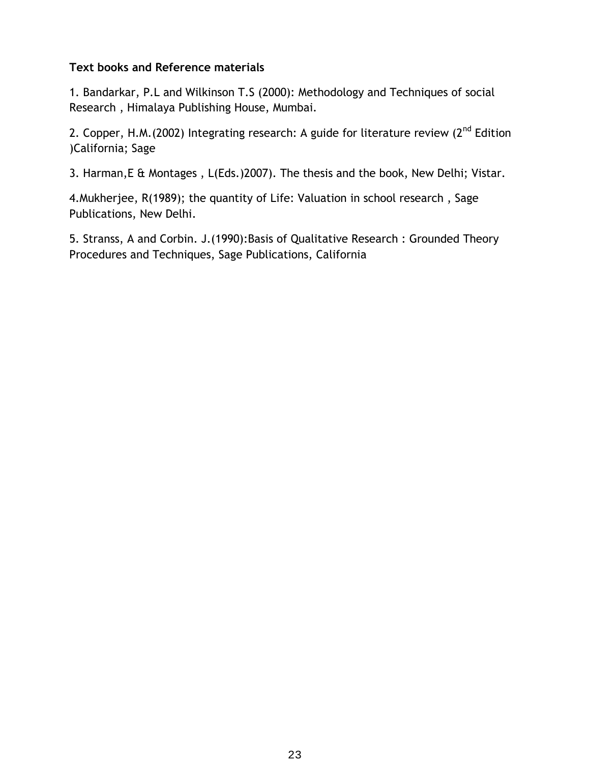#### **Text books and Reference materials**

1. Bandarkar, P.L and Wilkinson T.S (2000): Methodology and Techniques of social Research , Himalaya Publishing House, Mumbai.

2. Copper, H.M.(2002) Integrating research: A guide for literature review ( $2<sup>nd</sup>$  Edition )California; Sage

3. Harman,E & Montages , L(Eds.)2007). The thesis and the book, New Delhi; Vistar.

4.Mukherjee, R(1989); the quantity of Life: Valuation in school research , Sage Publications, New Delhi.

5. Stranss, A and Corbin. J.(1990):Basis of Qualitative Research : Grounded Theory Procedures and Techniques, Sage Publications, California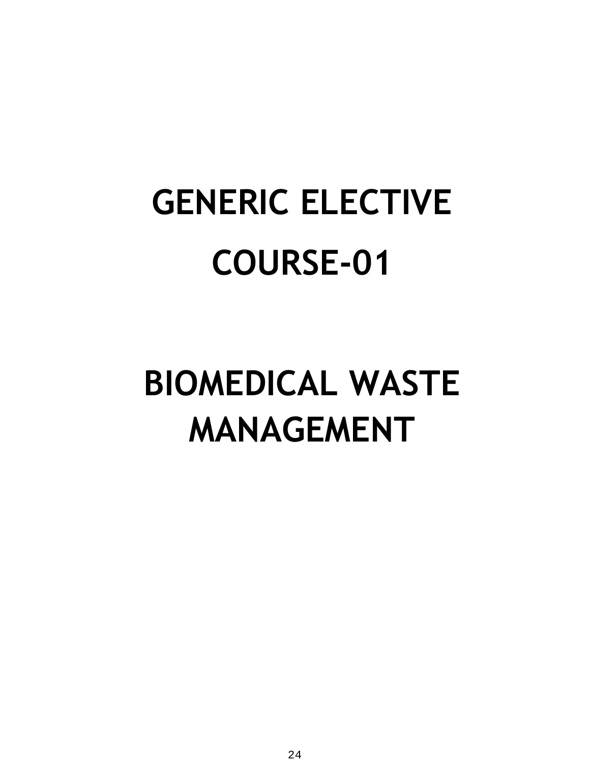# **GENERIC ELECTIVE COURSE-01**

# **BIOMEDICAL WASTE MANAGEMENT**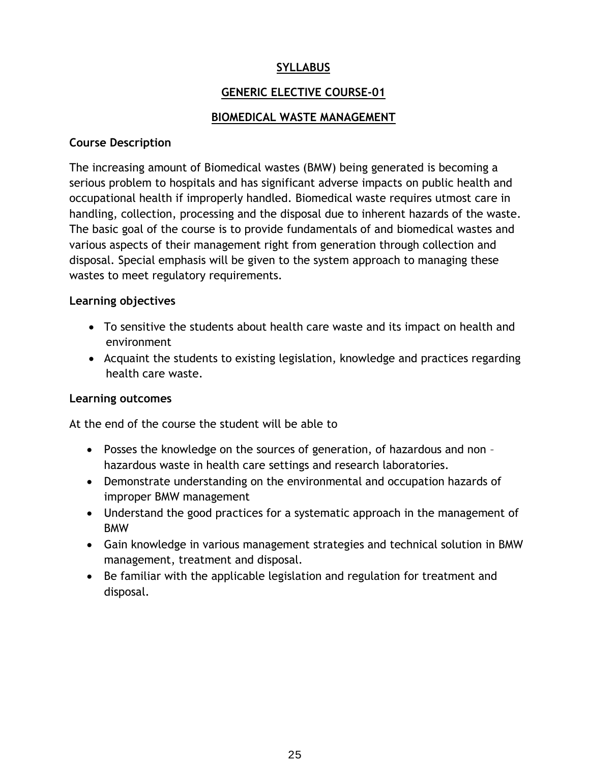#### **SYLLABUS**

#### **GENERIC ELECTIVE COURSE-01**

#### **BIOMEDICAL WASTE MANAGEMENT**

#### **Course Description**

The increasing amount of Biomedical wastes (BMW) being generated is becoming a serious problem to hospitals and has significant adverse impacts on public health and occupational health if improperly handled. Biomedical waste requires utmost care in handling, collection, processing and the disposal due to inherent hazards of the waste. The basic goal of the course is to provide fundamentals of and biomedical wastes and various aspects of their management right from generation through collection and disposal. Special emphasis will be given to the system approach to managing these wastes to meet regulatory requirements.

#### **Learning objectives**

- To sensitive the students about health care waste and its impact on health and environment
- Acquaint the students to existing legislation, knowledge and practices regarding health care waste.

#### **Learning outcomes**

At the end of the course the student will be able to

- Posses the knowledge on the sources of generation, of hazardous and non hazardous waste in health care settings and research laboratories.
- Demonstrate understanding on the environmental and occupation hazards of improper BMW management
- Understand the good practices for a systematic approach in the management of BMW
- Gain knowledge in various management strategies and technical solution in BMW management, treatment and disposal.
- Be familiar with the applicable legislation and regulation for treatment and disposal.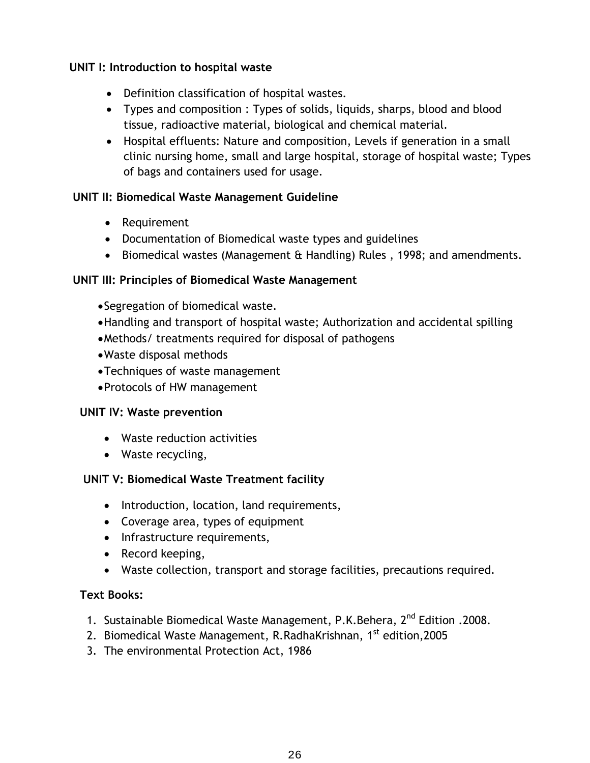#### **UNIT I: Introduction to hospital waste**

- Definition classification of hospital wastes.
- Types and composition : Types of solids, liquids, sharps, blood and blood tissue, radioactive material, biological and chemical material.
- Hospital effluents: Nature and composition, Levels if generation in a small clinic nursing home, small and large hospital, storage of hospital waste; Types of bags and containers used for usage.

#### **UNIT II: Biomedical Waste Management Guideline**

- Requirement
- Documentation of Biomedical waste types and guidelines
- Biomedical wastes (Management & Handling) Rules, 1998; and amendments.

#### **UNIT III: Principles of Biomedical Waste Management**

- Segregation of biomedical waste.
- Handling and transport of hospital waste; Authorization and accidental spilling
- Methods/ treatments required for disposal of pathogens
- Waste disposal methods
- Techniques of waste management
- Protocols of HW management

#### **UNIT IV: Waste prevention**

- Waste reduction activities
- Waste recycling,

#### **UNIT V: Biomedical Waste Treatment facility**

- Introduction, location, land requirements,
- Coverage area, types of equipment
- Infrastructure requirements,
- Record keeping,
- Waste collection, transport and storage facilities, precautions required.

#### **Text Books:**

- 1. Sustainable Biomedical Waste Management, P.K.Behera, 2nd Edition .2008.
- 2. Biomedical Waste Management, R.RadhaKrishnan, 1<sup>st</sup> edition, 2005
- 3. The environmental Protection Act, 1986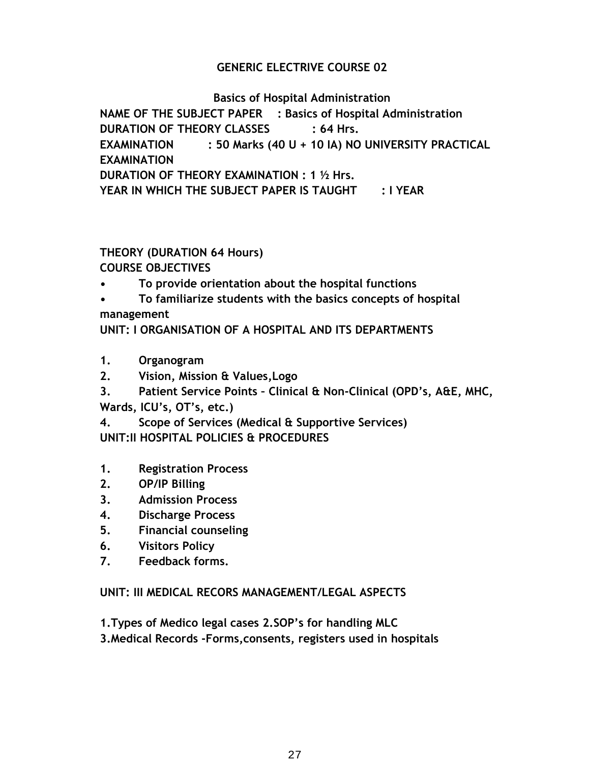#### **GENERIC ELECTRIVE COURSE 02**

#### **Basics of Hospital Administration**

**NAME OF THE SUBJECT PAPER : Basics of Hospital Administration DURATION OF THEORY CLASSES : 64 Hrs. EXAMINATION : 50 Marks (40 U + 10 IA) NO UNIVERSITY PRACTICAL EXAMINATION DURATION OF THEORY EXAMINATION : 1 ½ Hrs. YEAR IN WHICH THE SUBJECT PAPER IS TAUGHT : I YEAR**

#### **THEORY (DURATION 64 Hours)**

**COURSE OBJECTIVES**

- **• To provide orientation about the hospital functions**
- **• To familiarize students with the basics concepts of hospital**

**management**

**UNIT: I ORGANISATION OF A HOSPITAL AND ITS DEPARTMENTS**

- **1. Organogram**
- **2. Vision, Mission & Values,Logo**
- **3. Patient Service Points – Clinical & Non-Clinical (OPD's, A&E, MHC, Wards, ICU's, OT's, etc.)**

**4. Scope of Services (Medical & Supportive Services) UNIT:II HOSPITAL POLICIES & PROCEDURES**

- **1. Registration Process**
- **2. OP/IP Billing**
- **3. Admission Process**
- **4. Discharge Process**
- **5. Financial counseling**
- **6. Visitors Policy**
- **7. Feedback forms.**

#### **UNIT: III MEDICAL RECORS MANAGEMENT/LEGAL ASPECTS**

**1.Types of Medico legal cases 2.SOP's for handling MLC**

**3.Medical Records -Forms,consents, registers used in hospitals**